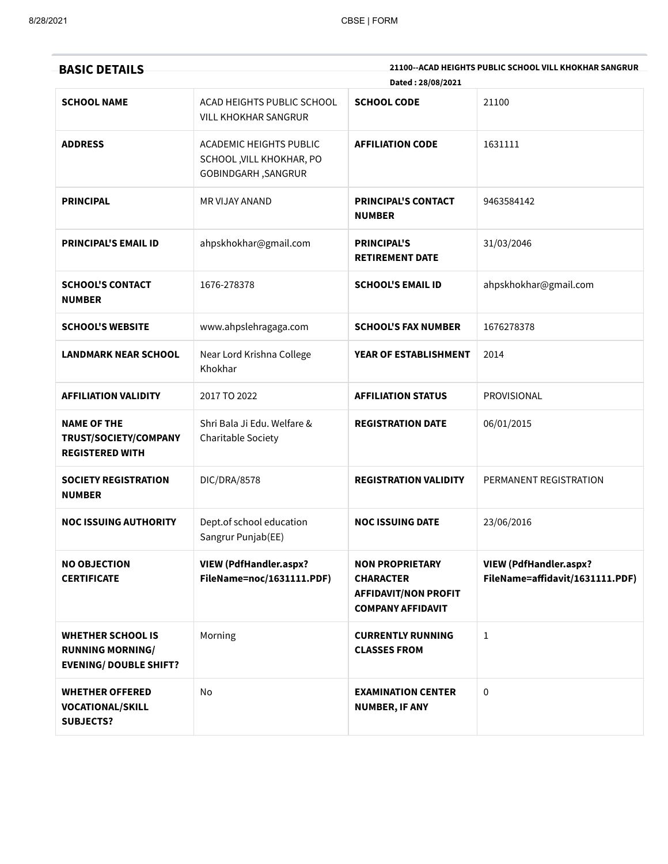| <b>BASIC DETAILS</b>                                                                 |                                                                                   | Dated: 28/08/2021                                                                                     | 21100--ACAD HEIGHTS PUBLIC SCHOOL VILL KHOKHAR SANGRUR           |
|--------------------------------------------------------------------------------------|-----------------------------------------------------------------------------------|-------------------------------------------------------------------------------------------------------|------------------------------------------------------------------|
| <b>SCHOOL NAME</b>                                                                   | ACAD HEIGHTS PUBLIC SCHOOL<br><b>VILL KHOKHAR SANGRUR</b>                         | <b>SCHOOL CODE</b>                                                                                    | 21100                                                            |
| <b>ADDRESS</b>                                                                       | ACADEMIC HEIGHTS PUBLIC<br>SCHOOL, VILL KHOKHAR, PO<br><b>GOBINDGARH, SANGRUR</b> | <b>AFFILIATION CODE</b>                                                                               | 1631111                                                          |
| <b>PRINCIPAL</b>                                                                     | MR VIJAY ANAND                                                                    | <b>PRINCIPAL'S CONTACT</b><br><b>NUMBER</b>                                                           | 9463584142                                                       |
| <b>PRINCIPAL'S EMAIL ID</b>                                                          | ahpskhokhar@gmail.com                                                             | <b>PRINCIPAL'S</b><br><b>RETIREMENT DATE</b>                                                          | 31/03/2046                                                       |
| <b>SCHOOL'S CONTACT</b><br><b>NUMBER</b>                                             | 1676-278378                                                                       | <b>SCHOOL'S EMAIL ID</b>                                                                              | ahpskhokhar@gmail.com                                            |
| <b>SCHOOL'S WEBSITE</b>                                                              | www.ahpslehragaga.com                                                             | <b>SCHOOL'S FAX NUMBER</b>                                                                            | 1676278378                                                       |
| <b>LANDMARK NEAR SCHOOL</b>                                                          | Near Lord Krishna College<br>Khokhar                                              | YEAR OF ESTABLISHMENT                                                                                 | 2014                                                             |
| <b>AFFILIATION VALIDITY</b>                                                          | 2017 TO 2022                                                                      | <b>AFFILIATION STATUS</b>                                                                             | <b>PROVISIONAL</b>                                               |
| <b>NAME OF THE</b><br>TRUST/SOCIETY/COMPANY<br><b>REGISTERED WITH</b>                | Shri Bala Ji Edu. Welfare &<br>Charitable Society                                 | <b>REGISTRATION DATE</b>                                                                              | 06/01/2015                                                       |
| <b>SOCIETY REGISTRATION</b><br><b>NUMBER</b>                                         | DIC/DRA/8578                                                                      | <b>REGISTRATION VALIDITY</b>                                                                          | PERMANENT REGISTRATION                                           |
| NOC ISSUING AUTHORITY                                                                | Dept.of school education<br>Sangrur Punjab(EE)                                    | <b>NOC ISSUING DATE</b>                                                                               | 23/06/2016                                                       |
| <b>NO OBJECTION</b><br><b>CERTIFICATE</b>                                            | <b>VIEW (PdfHandler.aspx?</b><br>FileName=noc/1631111.PDF)                        | <b>NON PROPRIETARY</b><br><b>CHARACTER</b><br><b>AFFIDAVIT/NON PROFIT</b><br><b>COMPANY AFFIDAVIT</b> | <b>VIEW (PdfHandler.aspx?</b><br>FileName=affidavit/1631111.PDF) |
| <b>WHETHER SCHOOL IS</b><br><b>RUNNING MORNING/</b><br><b>EVENING/ DOUBLE SHIFT?</b> | Morning                                                                           | <b>CURRENTLY RUNNING</b><br><b>CLASSES FROM</b>                                                       | $\mathbf{1}$                                                     |
| <b>WHETHER OFFERED</b><br><b>VOCATIONAL/SKILL</b><br><b>SUBJECTS?</b>                | No                                                                                | <b>EXAMINATION CENTER</b><br><b>NUMBER, IF ANY</b>                                                    | $\mathbf 0$                                                      |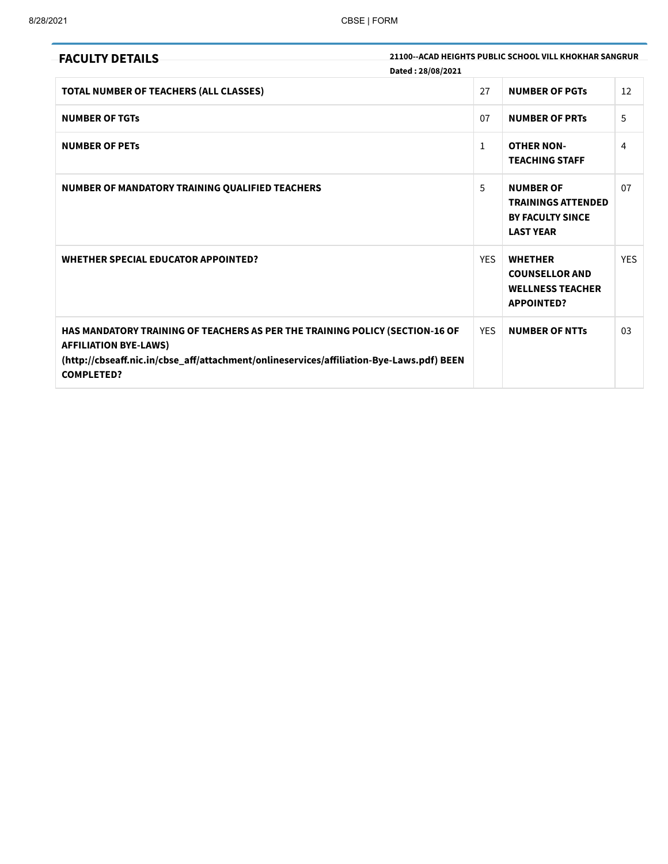| <b>FACULTY DETAILS</b>                                                                                                                                                                                                        | Dated: 28/08/2021 | 21100--ACAD HEIGHTS PUBLIC SCHOOL VILL KHOKHAR SANGRUR                                       |            |
|-------------------------------------------------------------------------------------------------------------------------------------------------------------------------------------------------------------------------------|-------------------|----------------------------------------------------------------------------------------------|------------|
| <b>TOTAL NUMBER OF TEACHERS (ALL CLASSES)</b>                                                                                                                                                                                 | 27                | <b>NUMBER OF PGTS</b>                                                                        | 12         |
| <b>NUMBER OF TGTs</b>                                                                                                                                                                                                         | 07                | <b>NUMBER OF PRTS</b>                                                                        | 5          |
| <b>NUMBER OF PETS</b>                                                                                                                                                                                                         | $\mathbf{1}$      | <b>OTHER NON-</b><br><b>TEACHING STAFF</b>                                                   | 4          |
| NUMBER OF MANDATORY TRAINING QUALIFIED TEACHERS                                                                                                                                                                               | 5                 | <b>NUMBER OF</b><br><b>TRAININGS ATTENDED</b><br><b>BY FACULTY SINCE</b><br><b>LAST YEAR</b> | 07         |
| <b>WHETHER SPECIAL EDUCATOR APPOINTED?</b>                                                                                                                                                                                    | <b>YES</b>        | <b>WHETHER</b><br><b>COUNSELLOR AND</b><br><b>WELLNESS TEACHER</b><br><b>APPOINTED?</b>      | <b>YES</b> |
| HAS MANDATORY TRAINING OF TEACHERS AS PER THE TRAINING POLICY (SECTION-16 OF<br><b>AFFILIATION BYE-LAWS)</b><br>(http://cbseaff.nic.in/cbse_aff/attachment/onlineservices/affiliation-Bye-Laws.pdf) BEEN<br><b>COMPLETED?</b> | <b>YES</b>        | <b>NUMBER OF NTTs</b>                                                                        | 03         |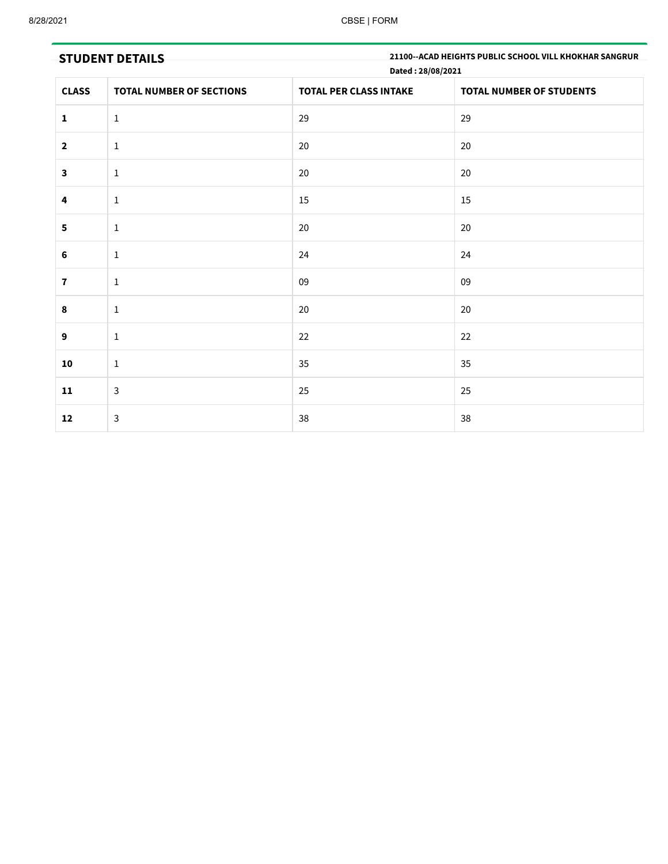|              | <b>STUDENT DETAILS</b>          | Dated: 28/08/2021             | 21100--ACAD HEIGHTS PUBLIC SCHOOL VILL KHOKHAR SANGRUR |
|--------------|---------------------------------|-------------------------------|--------------------------------------------------------|
| <b>CLASS</b> | <b>TOTAL NUMBER OF SECTIONS</b> | <b>TOTAL PER CLASS INTAKE</b> | <b>TOTAL NUMBER OF STUDENTS</b>                        |
| $\mathbf{1}$ | $\mathbf{1}$                    | 29                            | 29                                                     |
| $\mathbf{2}$ | $\mathbf{1}$                    | 20                            | 20                                                     |
| $\mathbf{3}$ | $\mathbf{1}$                    | 20                            | 20                                                     |
| 4            | $\mathbf{1}$                    | 15                            | 15                                                     |
| 5            | $\mathbf{1}$                    | 20                            | 20                                                     |
| $\bf 6$      | $\mathbf{1}$                    | 24                            | 24                                                     |
| $\bf 7$      | $\mathbf{1}$                    | 09                            | 09                                                     |
| $\pmb{8}$    | $\mathbf{1}$                    | 20                            | $20\,$                                                 |
| 9            | $\mathbf{1}$                    | 22                            | 22                                                     |
| 10           | $\mathbf{1}$                    | 35                            | $35\,$                                                 |
| ${\bf 11}$   | $\mathbf{3}$                    | 25                            | 25                                                     |
| 12           | $\mathbf{3}$                    | 38                            | 38                                                     |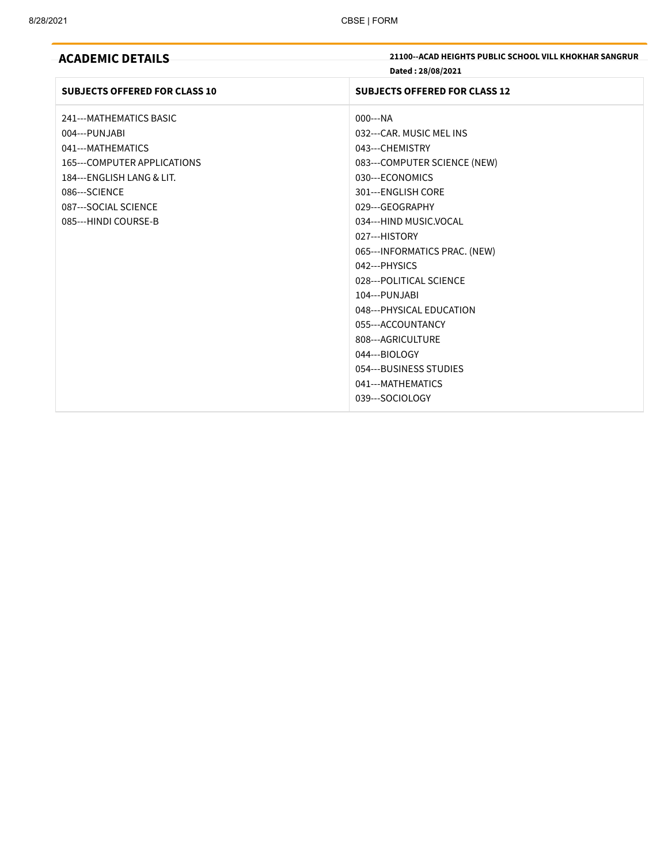| <b>ACADEMIC DETAILS</b>              | 21100--ACAD HEIGHTS PUBLIC SCHOOL VILL KHOKHAR SANGRUR<br>Dated: 28/08/2021 |
|--------------------------------------|-----------------------------------------------------------------------------|
| <b>SUBJECTS OFFERED FOR CLASS 10</b> | <b>SUBJECTS OFFERED FOR CLASS 12</b>                                        |
| 241--- MATHEMATICS BASIC             | $000--NA$                                                                   |
| 004---PUNJABI                        | 032---CAR, MUSIC MEL INS                                                    |
| 041---MATHEMATICS                    | 043---CHEMISTRY                                                             |
| 165--- COMPUTER APPLICATIONS         | 083---COMPUTER SCIENCE (NEW)                                                |
| 184---ENGLISH LANG & LIT.            | 030---ECONOMICS                                                             |
| 086---SCIENCE                        | 301---ENGLISH CORE                                                          |
| 087---SOCIAL SCIENCE                 | 029---GEOGRAPHY                                                             |
| 085---HINDI COURSE-B                 | 034---HIND MUSIC.VOCAL                                                      |
|                                      | 027---HISTORY                                                               |
|                                      | 065---INFORMATICS PRAC. (NEW)                                               |
|                                      | 042--- PHYSICS                                                              |
|                                      | 028---POLITICAL SCIENCE                                                     |
|                                      | 104---PUNJABI                                                               |
|                                      | 048--- PHYSICAL EDUCATION                                                   |
|                                      | 055---ACCOUNTANCY                                                           |
|                                      | 808---AGRICULTURE                                                           |
|                                      | 044---BIOLOGY                                                               |
|                                      | 054---BUSINESS STUDIES                                                      |
|                                      | 041---MATHEMATICS                                                           |
|                                      | 039---SOCIOLOGY                                                             |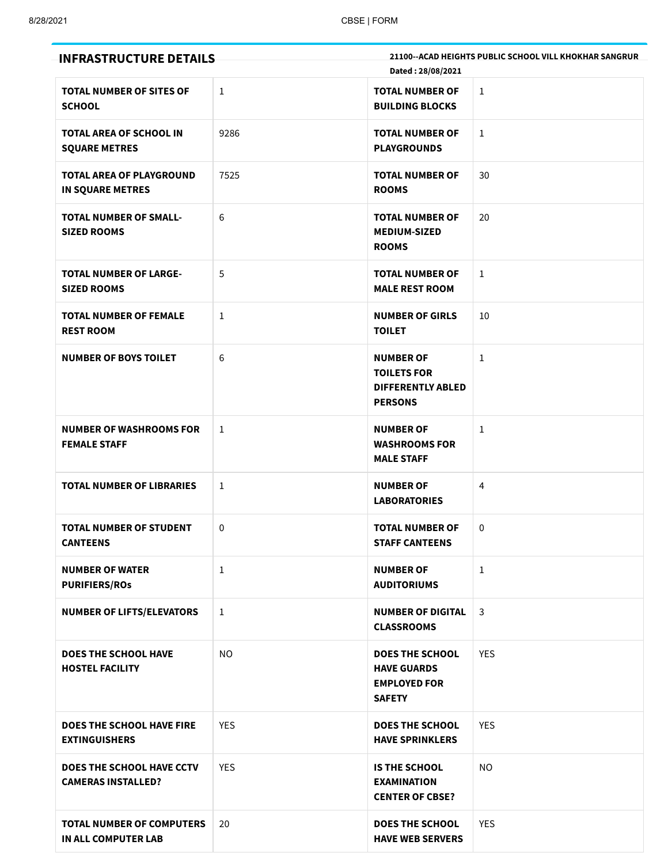| <b>INFRASTRUCTURE DETAILS</b>                              |              | Dated: 28/08/2021                                                                    | <b>21100--ACAD HEIGHTS PUBLIC SCHOOL VILL KHOKHAR SANGRUR</b> |
|------------------------------------------------------------|--------------|--------------------------------------------------------------------------------------|---------------------------------------------------------------|
| <b>TOTAL NUMBER OF SITES OF</b><br><b>SCHOOL</b>           | 1            | <b>TOTAL NUMBER OF</b><br><b>BUILDING BLOCKS</b>                                     | $\mathbf{1}$                                                  |
| <b>TOTAL AREA OF SCHOOL IN</b><br><b>SQUARE METRES</b>     | 9286         | <b>TOTAL NUMBER OF</b><br><b>PLAYGROUNDS</b>                                         | $\mathbf{1}$                                                  |
| <b>TOTAL AREA OF PLAYGROUND</b><br><b>IN SQUARE METRES</b> | 7525         | <b>TOTAL NUMBER OF</b><br><b>ROOMS</b>                                               | 30                                                            |
| <b>TOTAL NUMBER OF SMALL-</b><br><b>SIZED ROOMS</b>        | 6            | <b>TOTAL NUMBER OF</b><br><b>MEDIUM-SIZED</b><br><b>ROOMS</b>                        | 20                                                            |
| <b>TOTAL NUMBER OF LARGE-</b><br><b>SIZED ROOMS</b>        | 5            | <b>TOTAL NUMBER OF</b><br><b>MALE REST ROOM</b>                                      | $\mathbf 1$                                                   |
| <b>TOTAL NUMBER OF FEMALE</b><br><b>REST ROOM</b>          | 1            | <b>NUMBER OF GIRLS</b><br><b>TOILET</b>                                              | 10                                                            |
| <b>NUMBER OF BOYS TOILET</b>                               | 6            | <b>NUMBER OF</b><br><b>TOILETS FOR</b><br><b>DIFFERENTLY ABLED</b><br><b>PERSONS</b> | $\mathbf{1}$                                                  |
| <b>NUMBER OF WASHROOMS FOR</b><br><b>FEMALE STAFF</b>      | 1            | <b>NUMBER OF</b><br><b>WASHROOMS FOR</b><br><b>MALE STAFF</b>                        | 1                                                             |
| <b>TOTAL NUMBER OF LIBRARIES</b>                           | 1            | <b>NUMBER OF</b><br><b>LABORATORIES</b>                                              | 4                                                             |
| <b>TOTAL NUMBER OF STUDENT</b><br><b>CANTEENS</b>          | 0            | <b>TOTAL NUMBER OF</b><br><b>STAFF CANTEENS</b>                                      | 0                                                             |
| <b>NUMBER OF WATER</b><br><b>PURIFIERS/ROS</b>             | $\mathbf{1}$ | <b>NUMBER OF</b><br><b>AUDITORIUMS</b>                                               | $\mathbf{1}$                                                  |
| <b>NUMBER OF LIFTS/ELEVATORS</b>                           | $\mathbf{1}$ | <b>NUMBER OF DIGITAL</b><br><b>CLASSROOMS</b>                                        | 3                                                             |
| <b>DOES THE SCHOOL HAVE</b><br><b>HOSTEL FACILITY</b>      | <b>NO</b>    | <b>DOES THE SCHOOL</b><br><b>HAVE GUARDS</b><br><b>EMPLOYED FOR</b><br><b>SAFETY</b> | <b>YES</b>                                                    |
| <b>DOES THE SCHOOL HAVE FIRE</b><br><b>EXTINGUISHERS</b>   | <b>YES</b>   | <b>DOES THE SCHOOL</b><br><b>HAVE SPRINKLERS</b>                                     | <b>YES</b>                                                    |
| DOES THE SCHOOL HAVE CCTV<br><b>CAMERAS INSTALLED?</b>     | <b>YES</b>   | <b>IS THE SCHOOL</b><br><b>EXAMINATION</b><br><b>CENTER OF CBSE?</b>                 | <b>NO</b>                                                     |
| <b>TOTAL NUMBER OF COMPUTERS</b><br>IN ALL COMPUTER LAB    | 20           | <b>DOES THE SCHOOL</b><br><b>HAVE WEB SERVERS</b>                                    | <b>YES</b>                                                    |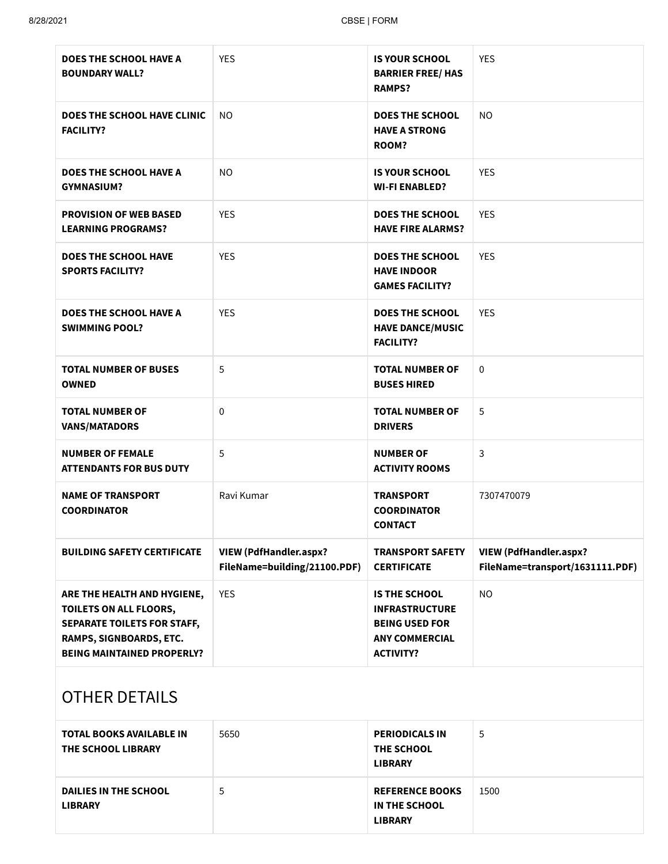| <b>DOES THE SCHOOL HAVE A</b><br><b>BOUNDARY WALL?</b>                                                                                                      | <b>YES</b>                                                    | <b>IS YOUR SCHOOL</b><br><b>BARRIER FREE/ HAS</b><br><b>RAMPS?</b>                                                  | <b>YES</b>                                                       |
|-------------------------------------------------------------------------------------------------------------------------------------------------------------|---------------------------------------------------------------|---------------------------------------------------------------------------------------------------------------------|------------------------------------------------------------------|
| DOES THE SCHOOL HAVE CLINIC<br><b>FACILITY?</b>                                                                                                             | NO.                                                           | <b>DOES THE SCHOOL</b><br><b>HAVE A STRONG</b><br>ROOM?                                                             | NO.                                                              |
| <b>DOES THE SCHOOL HAVE A</b><br><b>GYMNASIUM?</b>                                                                                                          | <b>NO</b>                                                     | <b>IS YOUR SCHOOL</b><br><b>WI-FI ENABLED?</b>                                                                      | <b>YES</b>                                                       |
| <b>PROVISION OF WEB BASED</b><br><b>LEARNING PROGRAMS?</b>                                                                                                  | <b>YES</b>                                                    | <b>DOES THE SCHOOL</b><br><b>HAVE FIRE ALARMS?</b>                                                                  | <b>YES</b>                                                       |
| <b>DOES THE SCHOOL HAVE</b><br><b>SPORTS FACILITY?</b>                                                                                                      | <b>YES</b>                                                    | <b>DOES THE SCHOOL</b><br><b>HAVE INDOOR</b><br><b>GAMES FACILITY?</b>                                              | <b>YES</b>                                                       |
| <b>DOES THE SCHOOL HAVE A</b><br><b>SWIMMING POOL?</b>                                                                                                      | <b>YES</b>                                                    | <b>DOES THE SCHOOL</b><br><b>HAVE DANCE/MUSIC</b><br><b>FACILITY?</b>                                               | <b>YES</b>                                                       |
| <b>TOTAL NUMBER OF BUSES</b><br><b>OWNED</b>                                                                                                                | 5                                                             | <b>TOTAL NUMBER OF</b><br><b>BUSES HIRED</b>                                                                        | 0                                                                |
| <b>TOTAL NUMBER OF</b><br><b>VANS/MATADORS</b>                                                                                                              | 0                                                             | <b>TOTAL NUMBER OF</b><br><b>DRIVERS</b>                                                                            | 5                                                                |
| <b>NUMBER OF FEMALE</b><br><b>ATTENDANTS FOR BUS DUTY</b>                                                                                                   | 5                                                             | <b>NUMBER OF</b><br><b>ACTIVITY ROOMS</b>                                                                           | 3                                                                |
| <b>NAME OF TRANSPORT</b><br><b>COORDINATOR</b>                                                                                                              | Ravi Kumar                                                    | <b>TRANSPORT</b><br><b>COORDINATOR</b><br><b>CONTACT</b>                                                            | 7307470079                                                       |
| <b>BUILDING SAFETY CERTIFICATE</b>                                                                                                                          | <b>VIEW (PdfHandler.aspx?</b><br>FileName=building/21100.PDF) | <b>TRANSPORT SAFETY</b><br><b>CERTIFICATE</b>                                                                       | <b>VIEW (PdfHandler.aspx?</b><br>FileName=transport/1631111.PDF) |
| ARE THE HEALTH AND HYGIENE,<br>TOILETS ON ALL FLOORS,<br><b>SEPARATE TOILETS FOR STAFF,</b><br>RAMPS, SIGNBOARDS, ETC.<br><b>BEING MAINTAINED PROPERLY?</b> | <b>YES</b>                                                    | <b>IS THE SCHOOL</b><br><b>INFRASTRUCTURE</b><br><b>BEING USED FOR</b><br><b>ANY COMMERCIAL</b><br><b>ACTIVITY?</b> | <b>NO</b>                                                        |

# OTHER DETAILS

| <b>TOTAL BOOKS AVAILABLE IN</b><br>THE SCHOOL LIBRARY | 5650 | <b>PERIODICALS IN</b><br>THE SCHOOL<br><b>LIBRARY</b>     | 5    |
|-------------------------------------------------------|------|-----------------------------------------------------------|------|
| DAILIES IN THE SCHOOL<br><b>LIBRARY</b>               | 5    | <b>REFERENCE BOOKS</b><br>IN THE SCHOOL<br><b>LIBRARY</b> | 1500 |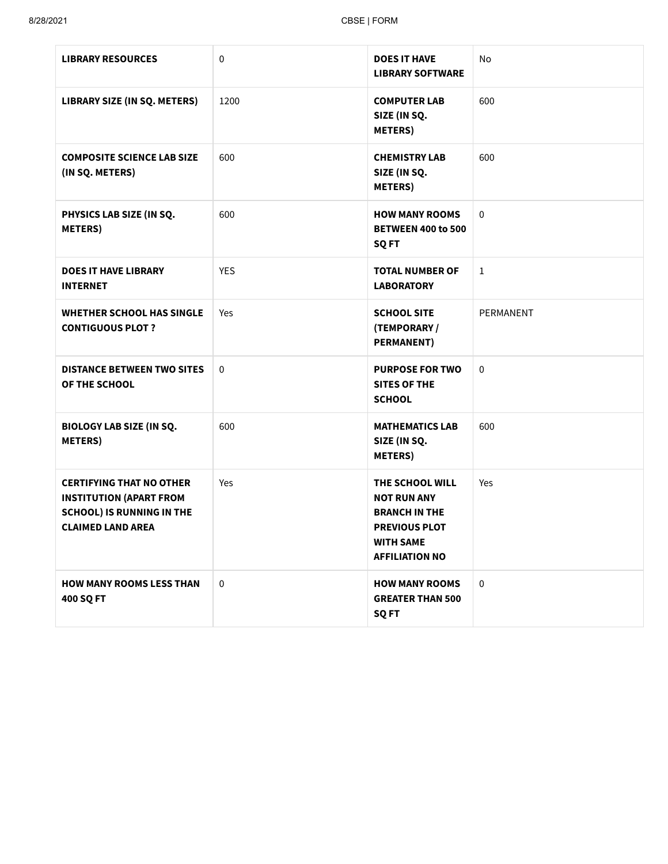| <b>LIBRARY RESOURCES</b>                                                                                                          | 0           | <b>DOES IT HAVE</b><br><b>LIBRARY SOFTWARE</b>                                                                                     | No          |
|-----------------------------------------------------------------------------------------------------------------------------------|-------------|------------------------------------------------------------------------------------------------------------------------------------|-------------|
| <b>LIBRARY SIZE (IN SQ. METERS)</b>                                                                                               | 1200        | <b>COMPUTER LAB</b><br>SIZE (IN SQ.<br><b>METERS)</b>                                                                              | 600         |
| <b>COMPOSITE SCIENCE LAB SIZE</b><br>(IN SQ. METERS)                                                                              | 600         | <b>CHEMISTRY LAB</b><br>SIZE (IN SQ.<br><b>METERS</b> )                                                                            | 600         |
| PHYSICS LAB SIZE (IN SQ.<br><b>METERS</b> )                                                                                       | 600         | <b>HOW MANY ROOMS</b><br><b>BETWEEN 400 to 500</b><br><b>SQFT</b>                                                                  | $\mathbf 0$ |
| <b>DOES IT HAVE LIBRARY</b><br><b>INTERNET</b>                                                                                    | <b>YES</b>  | <b>TOTAL NUMBER OF</b><br><b>LABORATORY</b>                                                                                        | $\mathbf 1$ |
| <b>WHETHER SCHOOL HAS SINGLE</b><br><b>CONTIGUOUS PLOT ?</b>                                                                      | Yes         | <b>SCHOOL SITE</b><br>(TEMPORARY /<br><b>PERMANENT)</b>                                                                            | PERMANENT   |
| <b>DISTANCE BETWEEN TWO SITES</b><br>OF THE SCHOOL                                                                                | 0           | <b>PURPOSE FOR TWO</b><br><b>SITES OF THE</b><br><b>SCHOOL</b>                                                                     | 0           |
| <b>BIOLOGY LAB SIZE (IN SQ.</b><br><b>METERS)</b>                                                                                 | 600         | <b>MATHEMATICS LAB</b><br>SIZE (IN SQ.<br><b>METERS)</b>                                                                           | 600         |
| <b>CERTIFYING THAT NO OTHER</b><br><b>INSTITUTION (APART FROM</b><br><b>SCHOOL) IS RUNNING IN THE</b><br><b>CLAIMED LAND AREA</b> | Yes         | THE SCHOOL WILL<br><b>NOT RUN ANY</b><br><b>BRANCH IN THE</b><br><b>PREVIOUS PLOT</b><br><b>WITH SAME</b><br><b>AFFILIATION NO</b> | Yes         |
| <b>HOW MANY ROOMS LESS THAN</b><br>400 SQ FT                                                                                      | $\mathbf 0$ | <b>HOW MANY ROOMS</b><br><b>GREATER THAN 500</b><br>SQ FT                                                                          | $\mathbf 0$ |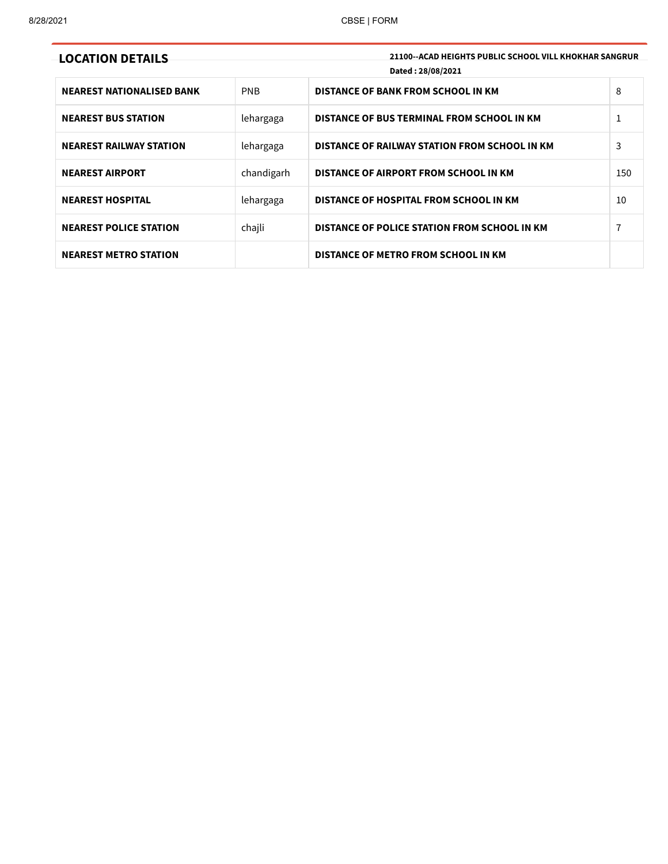| <b>LOCATION DETAILS</b>          |            | 21100--ACAD HEIGHTS PUBLIC SCHOOL VILL KHOKHAR SANGRUR<br>Dated: 28/08/2021 |     |
|----------------------------------|------------|-----------------------------------------------------------------------------|-----|
| <b>NEAREST NATIONALISED BANK</b> | PNB        | DISTANCE OF BANK FROM SCHOOL IN KM                                          | 8   |
| <b>NEAREST BUS STATION</b>       | lehargaga  | DISTANCE OF BUS TERMINAL FROM SCHOOL IN KM                                  | 1   |
| <b>NEAREST RAILWAY STATION</b>   | lehargaga  | DISTANCE OF RAILWAY STATION FROM SCHOOL IN KM                               | 3   |
| <b>NEAREST AIRPORT</b>           | chandigarh | DISTANCE OF AIRPORT FROM SCHOOL IN KM                                       | 150 |
| <b>NEAREST HOSPITAL</b>          | lehargaga  | DISTANCE OF HOSPITAL FROM SCHOOL IN KM                                      | 10  |
| <b>NEAREST POLICE STATION</b>    | chajli     | DISTANCE OF POLICE STATION FROM SCHOOL IN KM                                | 7   |
| <b>NEAREST METRO STATION</b>     |            | DISTANCE OF METRO FROM SCHOOL IN KM                                         |     |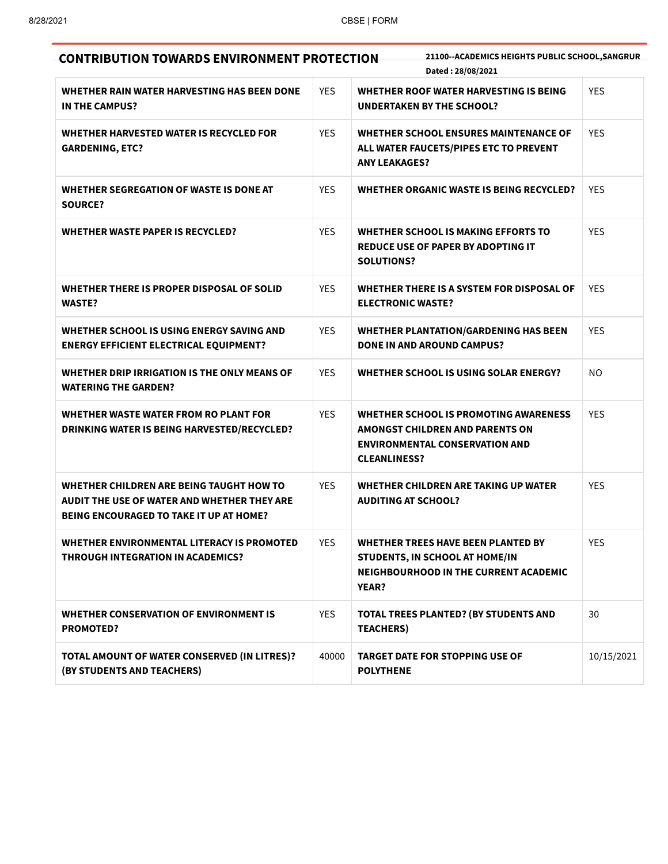| <b>CONTRIBUTION TOWARDS ENVIRONMENT PROTECTION</b>                                                                                        |            | 21100--ACADEMICS HEIGHTS PUBLIC SCHOOL, SANGRUR<br>Dated: 28/08/2021                                                                     |            |
|-------------------------------------------------------------------------------------------------------------------------------------------|------------|------------------------------------------------------------------------------------------------------------------------------------------|------------|
| WHETHER RAIN WATER HARVESTING HAS BEEN DONE<br>IN THE CAMPUS?                                                                             | <b>YES</b> | WHETHER ROOF WATER HARVESTING IS BEING<br><b>UNDERTAKEN BY THE SCHOOL?</b>                                                               | <b>YES</b> |
| WHETHER HARVESTED WATER IS RECYCLED FOR<br><b>GARDENING, ETC?</b>                                                                         | <b>YES</b> | <b>WHETHER SCHOOL ENSURES MAINTENANCE OF</b><br>ALL WATER FAUCETS/PIPES ETC TO PREVENT<br><b>ANY LEAKAGES?</b>                           | <b>YES</b> |
| WHETHER SEGREGATION OF WASTE IS DONE AT<br><b>SOURCE?</b>                                                                                 | <b>YES</b> | WHETHER ORGANIC WASTE IS BEING RECYCLED?                                                                                                 | <b>YES</b> |
| WHETHER WASTE PAPER IS RECYCLED?                                                                                                          | <b>YES</b> | <b>WHETHER SCHOOL IS MAKING EFFORTS TO</b><br><b>REDUCE USE OF PAPER BY ADOPTING IT</b><br><b>SOLUTIONS?</b>                             | <b>YES</b> |
| WHETHER THERE IS PROPER DISPOSAL OF SOLID<br><b>WASTE?</b>                                                                                | <b>YES</b> | WHETHER THERE IS A SYSTEM FOR DISPOSAL OF<br><b>ELECTRONIC WASTE?</b>                                                                    | <b>YES</b> |
| WHETHER SCHOOL IS USING ENERGY SAVING AND<br><b>ENERGY EFFICIENT ELECTRICAL EQUIPMENT?</b>                                                | <b>YES</b> | <b>WHETHER PLANTATION/GARDENING HAS BEEN</b><br><b>DONE IN AND AROUND CAMPUS?</b>                                                        | <b>YES</b> |
| WHETHER DRIP IRRIGATION IS THE ONLY MEANS OF<br><b>WATERING THE GARDEN?</b>                                                               | <b>YES</b> | WHETHER SCHOOL IS USING SOLAR ENERGY?                                                                                                    | <b>NO</b>  |
| WHETHER WASTE WATER FROM RO PLANT FOR<br>DRINKING WATER IS BEING HARVESTED/RECYCLED?                                                      | <b>YES</b> | WHETHER SCHOOL IS PROMOTING AWARENESS<br>AMONGST CHILDREN AND PARENTS ON<br><b>ENVIRONMENTAL CONSERVATION AND</b><br><b>CLEANLINESS?</b> | <b>YES</b> |
| WHETHER CHILDREN ARE BEING TAUGHT HOW TO<br>AUDIT THE USE OF WATER AND WHETHER THEY ARE<br><b>BEING ENCOURAGED TO TAKE IT UP AT HOME?</b> | <b>YES</b> | WHETHER CHILDREN ARE TAKING UP WATER<br><b>AUDITING AT SCHOOL?</b>                                                                       | <b>YES</b> |
| WHETHER ENVIRONMENTAL LITERACY IS PROMOTED<br>THROUGH INTEGRATION IN ACADEMICS?                                                           | <b>YES</b> | <b>WHETHER TREES HAVE BEEN PLANTED BY</b><br>STUDENTS, IN SCHOOL AT HOME/IN<br>NEIGHBOURHOOD IN THE CURRENT ACADEMIC<br>YEAR?            | <b>YES</b> |
| WHETHER CONSERVATION OF ENVIRONMENT IS<br><b>PROMOTED?</b>                                                                                | <b>YES</b> | <b>TOTAL TREES PLANTED? (BY STUDENTS AND</b><br><b>TEACHERS)</b>                                                                         | 30         |
| TOTAL AMOUNT OF WATER CONSERVED (IN LITRES)?<br>(BY STUDENTS AND TEACHERS)                                                                | 40000      | <b>TARGET DATE FOR STOPPING USE OF</b><br><b>POLYTHENE</b>                                                                               | 10/15/2021 |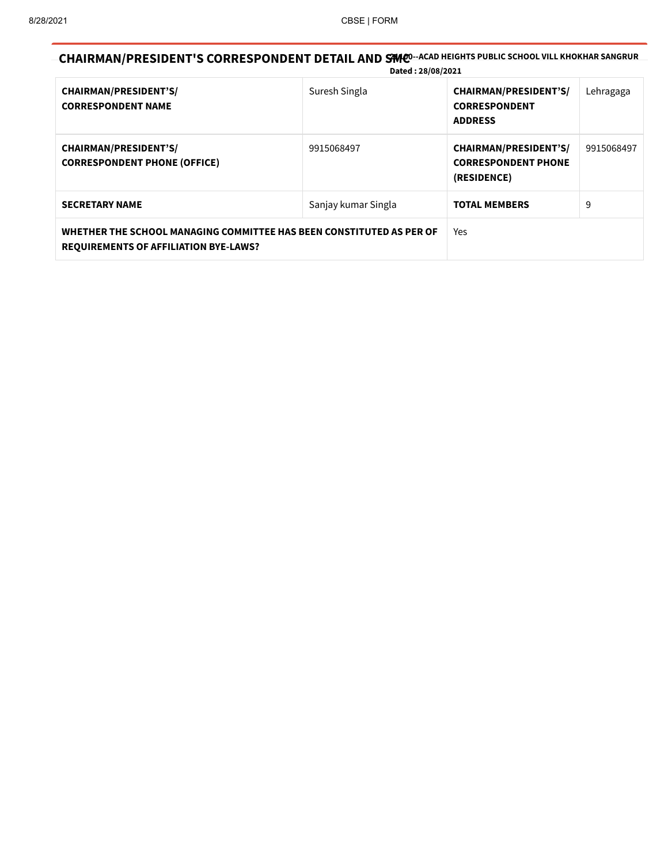## CHAIRMAN/PRESIDENT'S CORRESPONDENT DETAIL AND SMCO-ACAD HEIGHTS PUBLIC SCHOOL VILL KHOKHAR SANGRUR Dated : 28/08/2021

| <b>CHAIRMAN/PRESIDENT'S/</b><br><b>CORRESPONDENT NAME</b>                                                            | Suresh Singla       | <b>CHAIRMAN/PRESIDENT'S/</b><br><b>CORRESPONDENT</b><br><b>ADDRESS</b>    | Lehragaga  |
|----------------------------------------------------------------------------------------------------------------------|---------------------|---------------------------------------------------------------------------|------------|
| <b>CHAIRMAN/PRESIDENT'S/</b><br><b>CORRESPONDENT PHONE (OFFICE)</b>                                                  | 9915068497          | <b>CHAIRMAN/PRESIDENT'S/</b><br><b>CORRESPONDENT PHONE</b><br>(RESIDENCE) | 9915068497 |
| <b>SECRETARY NAME</b>                                                                                                | Sanjay kumar Singla | <b>TOTAL MEMBERS</b>                                                      | 9          |
| WHETHER THE SCHOOL MANAGING COMMITTEE HAS BEEN CONSTITUTED AS PER OF<br><b>REQUIREMENTS OF AFFILIATION BYE-LAWS?</b> |                     | Yes                                                                       |            |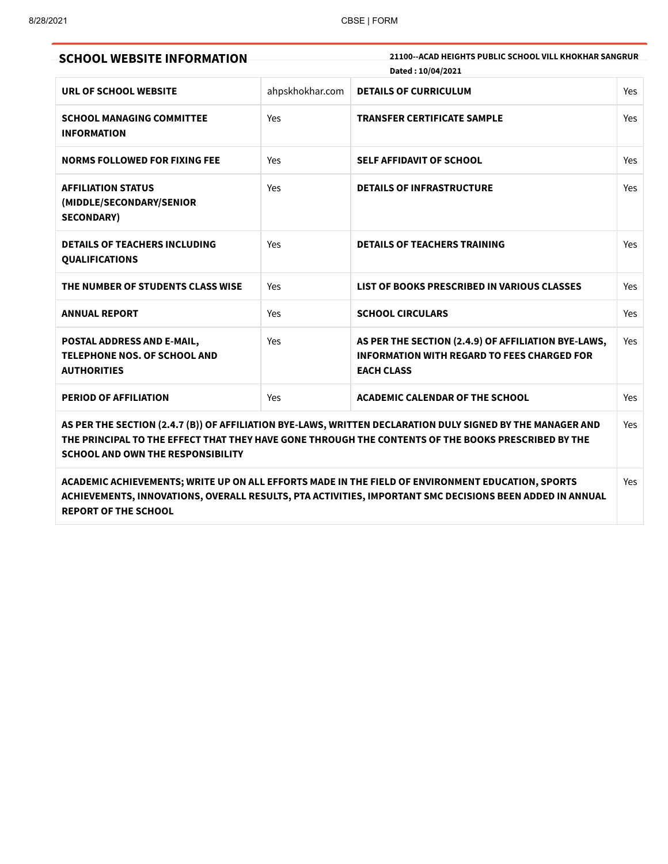| <b>SCHOOL WEBSITE INFORMATION</b>                                                                                                                                                                                                                             |                 | 21100--ACAD HEIGHTS PUBLIC SCHOOL VILL KHOKHAR SANGRUR<br>Dated: 10/04/2021                                                    | Yes |  |
|---------------------------------------------------------------------------------------------------------------------------------------------------------------------------------------------------------------------------------------------------------------|-----------------|--------------------------------------------------------------------------------------------------------------------------------|-----|--|
| URL OF SCHOOL WEBSITE                                                                                                                                                                                                                                         | ahpskhokhar.com | <b>DETAILS OF CURRICULUM</b>                                                                                                   |     |  |
| <b>SCHOOL MANAGING COMMITTEE</b><br><b>INFORMATION</b>                                                                                                                                                                                                        | Yes             | <b>TRANSFER CERTIFICATE SAMPLE</b>                                                                                             | Yes |  |
| <b>NORMS FOLLOWED FOR FIXING FEE</b>                                                                                                                                                                                                                          | Yes             | SELF AFFIDAVIT OF SCHOOL                                                                                                       | Yes |  |
| <b>AFFILIATION STATUS</b><br>(MIDDLE/SECONDARY/SENIOR<br><b>SECONDARY)</b>                                                                                                                                                                                    | Yes             | <b>DETAILS OF INFRASTRUCTURE</b>                                                                                               | Yes |  |
| <b>DETAILS OF TEACHERS INCLUDING</b><br><b>QUALIFICATIONS</b>                                                                                                                                                                                                 | Yes             | <b>DETAILS OF TEACHERS TRAINING</b>                                                                                            | Yes |  |
| THE NUMBER OF STUDENTS CLASS WISE                                                                                                                                                                                                                             | Yes             | LIST OF BOOKS PRESCRIBED IN VARIOUS CLASSES                                                                                    | Yes |  |
| <b>ANNUAL REPORT</b>                                                                                                                                                                                                                                          | Yes             | <b>SCHOOL CIRCULARS</b>                                                                                                        | Yes |  |
| POSTAL ADDRESS AND E-MAIL,<br><b>TELEPHONE NOS. OF SCHOOL AND</b><br><b>AUTHORITIES</b>                                                                                                                                                                       | Yes             | AS PER THE SECTION (2.4.9) OF AFFILIATION BYE-LAWS,<br><b>INFORMATION WITH REGARD TO FEES CHARGED FOR</b><br><b>EACH CLASS</b> | Yes |  |
| PERIOD OF AFFILIATION                                                                                                                                                                                                                                         | Yes             | <b>ACADEMIC CALENDAR OF THE SCHOOL</b>                                                                                         | Yes |  |
| AS PER THE SECTION (2.4.7 (B)) OF AFFILIATION BYE-LAWS, WRITTEN DECLARATION DULY SIGNED BY THE MANAGER AND<br>THE PRINCIPAL TO THE EFFECT THAT THEY HAVE GONE THROUGH THE CONTENTS OF THE BOOKS PRESCRIBED BY THE<br><b>SCHOOL AND OWN THE RESPONSIBILITY</b> |                 |                                                                                                                                |     |  |
|                                                                                                                                                                                                                                                               |                 | ACADEMIC ACHIEVEMENTS; WRITE UP ON ALL EFFORTS MADE IN THE FIELD OF ENVIRONMENT EDUCATION, SPORTS                              | Yes |  |

ACADEMIC ACHIEVEMENTS; WRITE UP ON ALL EFFORTS MADE IN THE FIELD OF ENVIRONMENT EDUCATION, SPORTS ACHIEVEMENTS, INNOVATIONS, OVERALL RESULTS, PTA ACTIVITIES, IMPORTANT SMC DECISIONS BEEN ADDED IN ANNUAL REPORT OF THE SCHOOL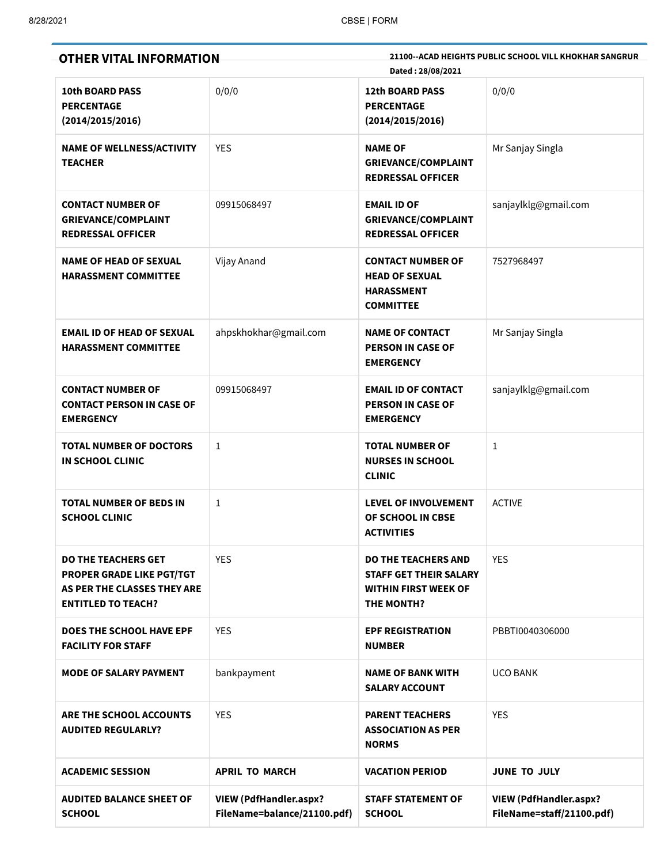| <b>OTHER VITAL INFORMATION</b>                                                                                             |                                                              | 21100--ACAD HEIGHTS PUBLIC SCHOOL VILL KHOKHAR SANGRUR<br>Dated: 28/08/2021                              |                                                            |  |
|----------------------------------------------------------------------------------------------------------------------------|--------------------------------------------------------------|----------------------------------------------------------------------------------------------------------|------------------------------------------------------------|--|
| <b>10th BOARD PASS</b><br><b>PERCENTAGE</b><br>(2014/2015/2016)                                                            | 0/0/0                                                        | <b>12th BOARD PASS</b><br><b>PERCENTAGE</b><br>(2014/2015/2016)                                          | 0/0/0                                                      |  |
| <b>NAME OF WELLNESS/ACTIVITY</b><br><b>TEACHER</b>                                                                         | <b>YES</b>                                                   | <b>NAME OF</b><br><b>GRIEVANCE/COMPLAINT</b><br><b>REDRESSAL OFFICER</b>                                 | Mr Sanjay Singla                                           |  |
| <b>CONTACT NUMBER OF</b><br><b>GRIEVANCE/COMPLAINT</b><br><b>REDRESSAL OFFICER</b>                                         | 09915068497                                                  | <b>EMAIL ID OF</b><br><b>GRIEVANCE/COMPLAINT</b><br><b>REDRESSAL OFFICER</b>                             | sanjaylklg@gmail.com                                       |  |
| <b>NAME OF HEAD OF SEXUAL</b><br><b>HARASSMENT COMMITTEE</b>                                                               | Vijay Anand                                                  | <b>CONTACT NUMBER OF</b><br><b>HEAD OF SEXUAL</b><br><b>HARASSMENT</b><br><b>COMMITTEE</b>               | 7527968497                                                 |  |
| <b>EMAIL ID OF HEAD OF SEXUAL</b><br><b>HARASSMENT COMMITTEE</b>                                                           | ahpskhokhar@gmail.com                                        | <b>NAME OF CONTACT</b><br><b>PERSON IN CASE OF</b><br><b>EMERGENCY</b>                                   | Mr Sanjay Singla                                           |  |
| <b>CONTACT NUMBER OF</b><br><b>CONTACT PERSON IN CASE OF</b><br><b>EMERGENCY</b>                                           | 09915068497                                                  | <b>EMAIL ID OF CONTACT</b><br><b>PERSON IN CASE OF</b><br><b>EMERGENCY</b>                               | sanjaylklg@gmail.com                                       |  |
| <b>TOTAL NUMBER OF DOCTORS</b><br><b>IN SCHOOL CLINIC</b>                                                                  | 1                                                            | <b>TOTAL NUMBER OF</b><br><b>NURSES IN SCHOOL</b><br><b>CLINIC</b>                                       | $\mathbf{1}$                                               |  |
| <b>TOTAL NUMBER OF BEDS IN</b><br><b>SCHOOL CLINIC</b>                                                                     | 1                                                            | <b>LEVEL OF INVOLVEMENT</b><br>OF SCHOOL IN CBSE<br><b>ACTIVITIES</b>                                    | <b>ACTIVE</b>                                              |  |
| <b>DO THE TEACHERS GET</b><br><b>PROPER GRADE LIKE PGT/TGT</b><br>AS PER THE CLASSES THEY ARE<br><b>ENTITLED TO TEACH?</b> | <b>YES</b>                                                   | <b>DO THE TEACHERS AND</b><br><b>STAFF GET THEIR SALARY</b><br><b>WITHIN FIRST WEEK OF</b><br>THE MONTH? | <b>YES</b>                                                 |  |
| <b>DOES THE SCHOOL HAVE EPF</b><br><b>FACILITY FOR STAFF</b>                                                               | <b>YES</b>                                                   | <b>EPF REGISTRATION</b><br><b>NUMBER</b>                                                                 | PBBTI0040306000                                            |  |
| <b>MODE OF SALARY PAYMENT</b>                                                                                              | bankpayment                                                  | <b>NAME OF BANK WITH</b><br><b>SALARY ACCOUNT</b>                                                        | <b>UCO BANK</b>                                            |  |
| <b>ARE THE SCHOOL ACCOUNTS</b><br><b>AUDITED REGULARLY?</b>                                                                | <b>YES</b>                                                   | <b>PARENT TEACHERS</b><br><b>ASSOCIATION AS PER</b><br><b>NORMS</b>                                      | <b>YES</b>                                                 |  |
| <b>ACADEMIC SESSION</b>                                                                                                    | <b>APRIL TO MARCH</b>                                        | <b>VACATION PERIOD</b>                                                                                   | <b>JUNE TO JULY</b>                                        |  |
| <b>AUDITED BALANCE SHEET OF</b><br><b>SCHOOL</b>                                                                           | <b>VIEW (PdfHandler.aspx?</b><br>FileName=balance/21100.pdf) | <b>STAFF STATEMENT OF</b><br><b>SCHOOL</b>                                                               | <b>VIEW (PdfHandler.aspx?</b><br>FileName=staff/21100.pdf) |  |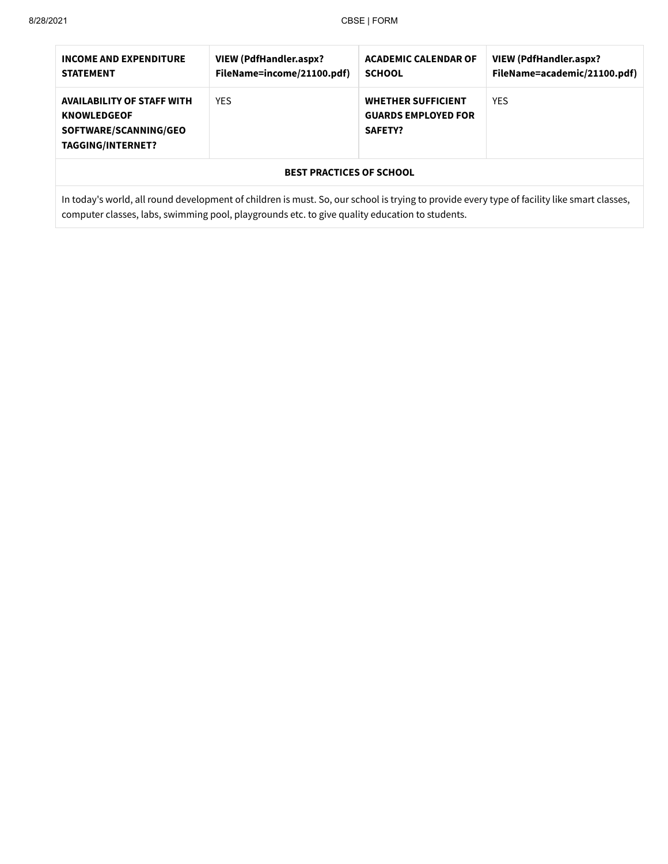## 8/28/2021 CBSE | FORM

| <b>INCOME AND EXPENDITURE</b><br><b>STATEMENT</b>                                                                          | VIEW (PdfHandler.aspx?<br>FileName=income/21100.pdf) | <b>ACADEMIC CALENDAR OF</b><br><b>SCHOOL</b>                       | <b>VIEW (PdfHandler.aspx?</b><br>FileName=academic/21100.pdf) |  |  |
|----------------------------------------------------------------------------------------------------------------------------|------------------------------------------------------|--------------------------------------------------------------------|---------------------------------------------------------------|--|--|
| <b>YES</b><br><b>AVAILABILITY OF STAFF WITH</b><br><b>KNOWLEDGEOF</b><br>SOFTWARE/SCANNING/GEO<br><b>TAGGING/INTERNET?</b> |                                                      | <b>WHETHER SUFFICIENT</b><br><b>GUARDS EMPLOYED FOR</b><br>SAFETY? | <b>YES</b>                                                    |  |  |
| <b>BEST PRACTICES OF SCHOOL</b>                                                                                            |                                                      |                                                                    |                                                               |  |  |

In today's world, all round development of children is must. So, our school is trying to provide every type of facility like smart classes, computer classes, labs, swimming pool, playgrounds etc. to give quality education to students.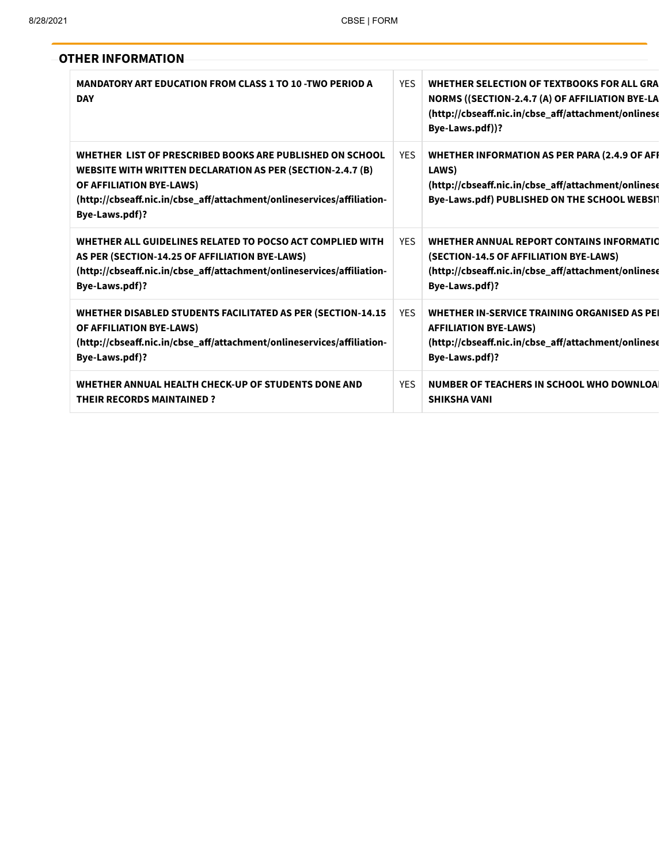|  | <b>OTHER INFORMATION</b> |  |
|--|--------------------------|--|
|--|--------------------------|--|

| <b>MANDATORY ART EDUCATION FROM CLASS 1 TO 10 -TWO PERIOD A</b><br><b>DAY</b>                                                                                                                                                                  | <b>YFS</b> | WHETHER SELECTION OF TEXTBOOKS FOR ALL GRA<br>NORMS ((SECTION-2.4.7 (A) OF AFFILIATION BYE-LA<br>(http://cbseaff.nic.in/cbse_aff/attachment/onlinese<br>Bye-Laws.pdf))? |
|------------------------------------------------------------------------------------------------------------------------------------------------------------------------------------------------------------------------------------------------|------------|-------------------------------------------------------------------------------------------------------------------------------------------------------------------------|
| WHETHER LIST OF PRESCRIBED BOOKS ARE PUBLISHED ON SCHOOL<br>WEBSITE WITH WRITTEN DECLARATION AS PER (SECTION-2.4.7 (B)<br>OF AFFILIATION BYE-LAWS)<br>(http://cbseaff.nic.in/cbse_aff/attachment/onlineservices/affiliation-<br>Bye-Laws.pdf)? | <b>YES</b> | WHETHER INFORMATION AS PER PARA (2.4.9 OF AFI<br>LAWS)<br>(http://cbseaff.nic.in/cbse_aff/attachment/onlinese<br>Bye-Laws.pdf) PUBLISHED ON THE SCHOOL WEBSIT           |
| WHETHER ALL GUIDELINES RELATED TO POCSO ACT COMPLIED WITH<br>AS PER (SECTION-14.25 OF AFFILIATION BYE-LAWS)<br>(http://cbseaff.nic.in/cbse_aff/attachment/onlineservices/affiliation-<br>Bye-Laws.pdf)?                                        | <b>YES</b> | WHETHER ANNUAL REPORT CONTAINS INFORMATIO<br>(SECTION-14.5 OF AFFILIATION BYE-LAWS)<br>(http://cbseaff.nic.in/cbse_aff/attachment/onlinese<br>Bye-Laws.pdf)?            |
| WHETHER DISABLED STUDENTS FACILITATED AS PER (SECTION-14.15<br>OF AFFILIATION BYE-LAWS)<br>(http://cbseaff.nic.in/cbse_aff/attachment/onlineservices/affiliation-<br>Bye-Laws.pdf)?                                                            | <b>YFS</b> | WHETHER IN-SERVICE TRAINING ORGANISED AS PEI<br><b>AFFILIATION BYE-LAWS)</b><br>(http://cbseaff.nic.in/cbse_aff/attachment/onlinese<br>Bye-Laws.pdf)?                   |
| WHETHER ANNUAL HEALTH CHECK-UP OF STUDENTS DONE AND<br><b>THEIR RECORDS MAINTAINED?</b>                                                                                                                                                        | <b>YES</b> | NUMBER OF TEACHERS IN SCHOOL WHO DOWNLOAL<br><b>SHIKSHA VANI</b>                                                                                                        |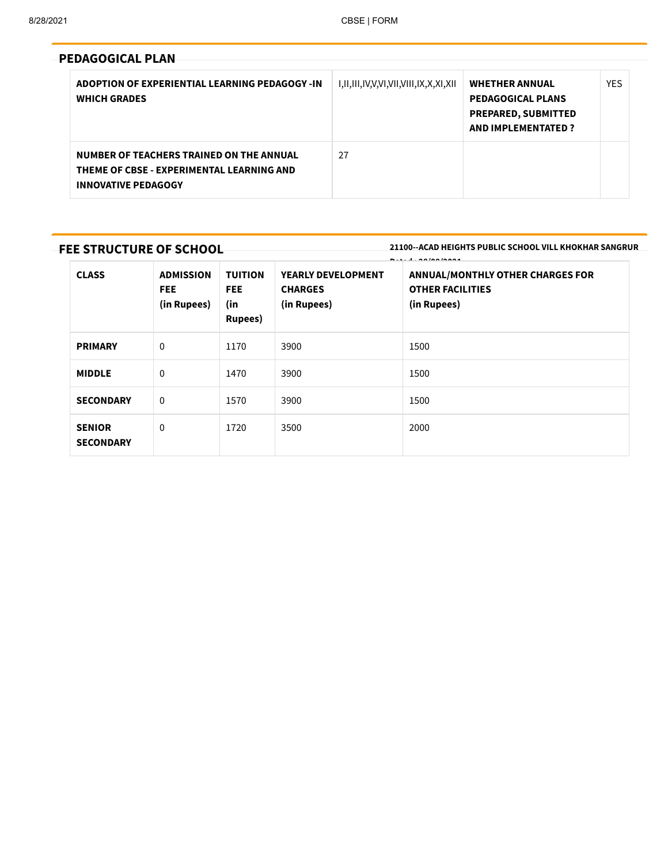| <b>PEDAGOGICAL PLAN</b>                                                                                             |                                       |                                                                                                              |            |
|---------------------------------------------------------------------------------------------------------------------|---------------------------------------|--------------------------------------------------------------------------------------------------------------|------------|
| ADOPTION OF EXPERIENTIAL LEARNING PEDAGOGY -IN<br><b>WHICH GRADES</b>                                               | I,II,III,IV,V,VI,VII,VIII,IX,X,XI,XII | <b>WHETHER ANNUAL</b><br><b>PEDAGOGICAL PLANS</b><br><b>PREPARED, SUBMITTED</b><br><b>AND IMPLEMENTATED?</b> | <b>YES</b> |
| NUMBER OF TEACHERS TRAINED ON THE ANNUAL<br>THEME OF CBSE - EXPERIMENTAL LEARNING AND<br><b>INNOVATIVE PEDAGOGY</b> | 27                                    |                                                                                                              |            |

## FEE STRUCTURE OF SCHOOL

21100--ACAD HEIGHTS PUBLIC SCHOOL VILL KHOKHAR SANGRUR

| <b>CLASS</b>                      | <b>ADMISSION</b><br><b>FEE</b><br>(in Rupees) | <b>TUITION</b><br><b>FEE</b><br>(in<br>Rupees) | <b>YEARLY DEVELOPMENT</b><br><b>CHARGES</b><br>(in Rupees) | <b>ANNUAL/MONTHLY OTHER CHARGES FOR</b><br><b>OTHER FACILITIES</b><br>(in Rupees) |
|-----------------------------------|-----------------------------------------------|------------------------------------------------|------------------------------------------------------------|-----------------------------------------------------------------------------------|
| <b>PRIMARY</b>                    | $\mathbf 0$                                   | 1170                                           | 3900                                                       | 1500                                                                              |
| <b>MIDDLE</b>                     | $\mathbf 0$                                   | 1470                                           | 3900                                                       | 1500                                                                              |
| <b>SECONDARY</b>                  | $\mathbf 0$                                   | 1570                                           | 3900                                                       | 1500                                                                              |
| <b>SENIOR</b><br><b>SECONDARY</b> | $\mathbf{0}$                                  | 1720                                           | 3500                                                       | 2000                                                                              |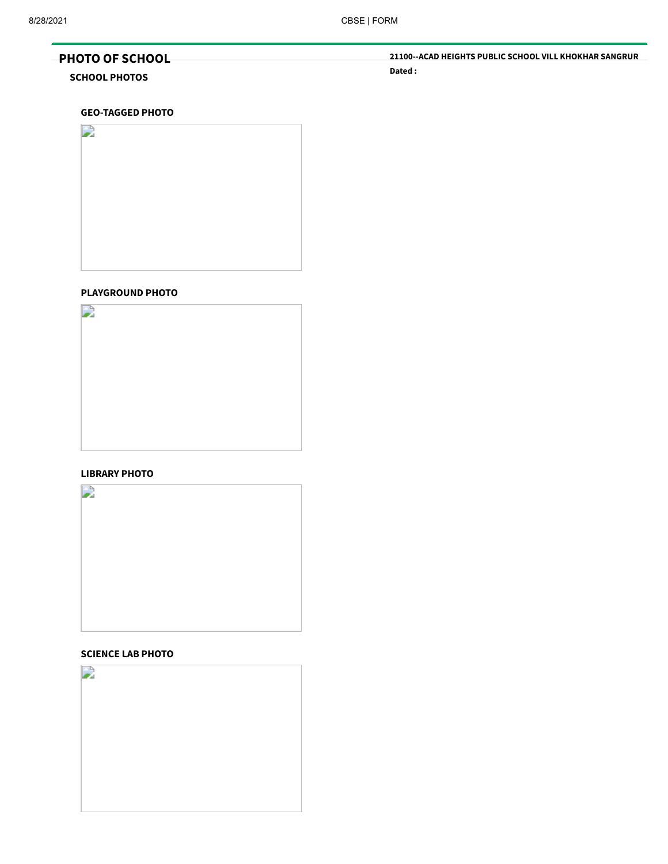## PHOTO OF SCHOOL

## SCHOOL PHOTOS

21100--ACAD HEIGHTS PUBLIC SCHOOL VILL KHOKHAR SANGRUR Dated :

#### GEO-TAGGED PHOTO



## PLAYGROUND PHOTO



#### LIBRARY PHOTO



## SCIENCE LAB PHOTO

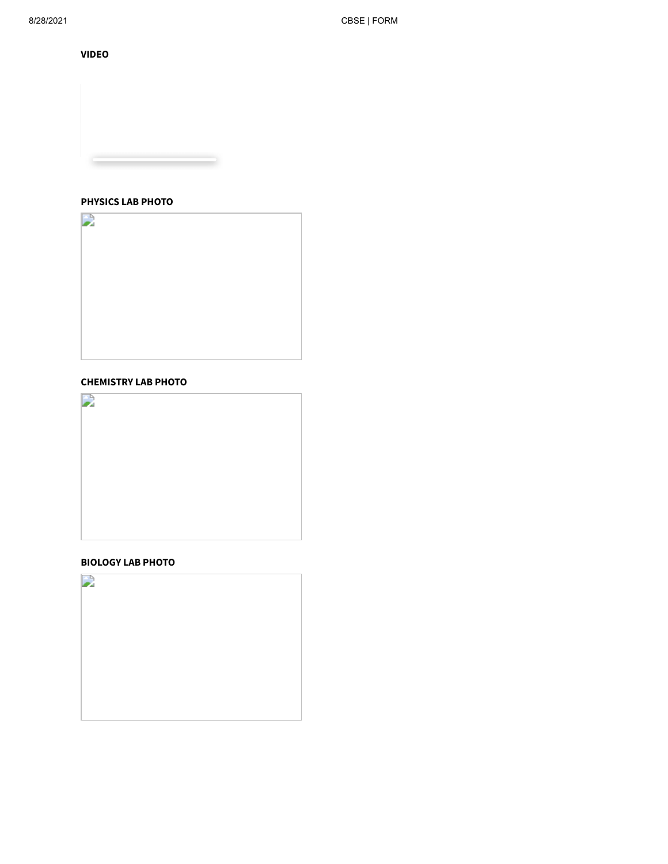VIDEO

## PHYSICS LAB PHOTO

 $\rightarrow$ 

## CHEMISTRY LAB PHOTO



## BIOLOGY LAB PHOTO

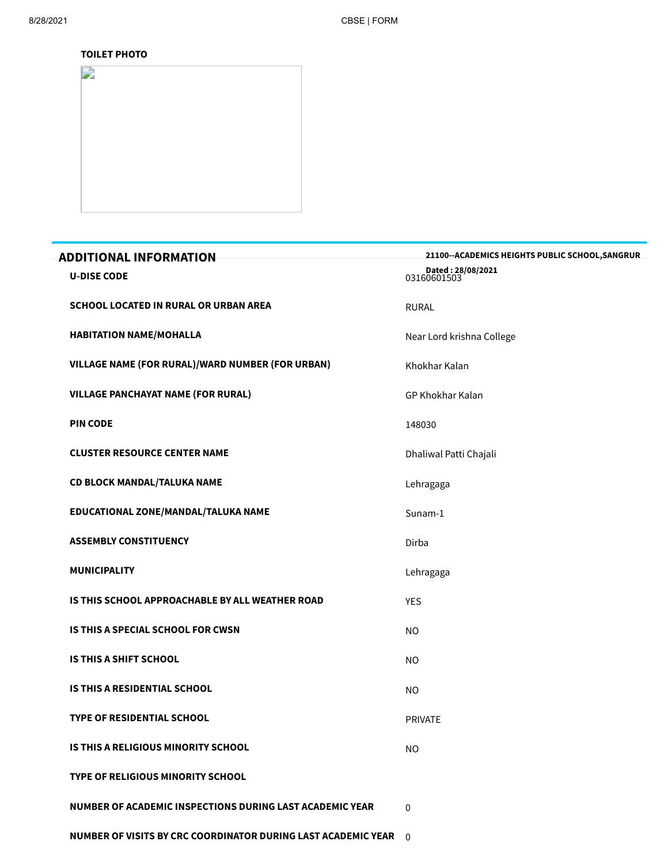## TOILET PHOTO

| $\mathbf{D}$ |  |
|--------------|--|
|              |  |
|              |  |
|              |  |
|              |  |
|              |  |
|              |  |
|              |  |
|              |  |
|              |  |
|              |  |
|              |  |
|              |  |
|              |  |
|              |  |
|              |  |
|              |  |
|              |  |

| <b>ADDITIONAL INFORMATION</b>                                 | 21100--ACADEMICS HEIGHTS PUBLIC SCHOOL, SANGRUR |
|---------------------------------------------------------------|-------------------------------------------------|
| <b>U-DISE CODE</b>                                            | Dated: 28/08/2021<br>03160601503                |
| <b>SCHOOL LOCATED IN RURAL OR URBAN AREA</b>                  | <b>RURAL</b>                                    |
| <b>HABITATION NAME/MOHALLA</b>                                | Near Lord krishna College                       |
| VILLAGE NAME (FOR RURAL)/WARD NUMBER (FOR URBAN)              | Khokhar Kalan                                   |
| <b>VILLAGE PANCHAYAT NAME (FOR RURAL)</b>                     | <b>GP Khokhar Kalan</b>                         |
| <b>PIN CODE</b>                                               | 148030                                          |
| <b>CLUSTER RESOURCE CENTER NAME</b>                           | Dhaliwal Patti Chajali                          |
| CD BLOCK MANDAL/TALUKA NAME                                   | Lehragaga                                       |
| EDUCATIONAL ZONE/MANDAL/TALUKA NAME                           | Sunam-1                                         |
| <b>ASSEMBLY CONSTITUENCY</b>                                  | Dirba                                           |
| <b>MUNICIPALITY</b>                                           | Lehragaga                                       |
| IS THIS SCHOOL APPROACHABLE BY ALL WEATHER ROAD               | <b>YES</b>                                      |
| <b>IS THIS A SPECIAL SCHOOL FOR CWSN</b>                      | <b>NO</b>                                       |
| <b>IS THIS A SHIFT SCHOOL</b>                                 | <b>NO</b>                                       |
| IS THIS A RESIDENTIAL SCHOOL                                  | <b>NO</b>                                       |
| <b>TYPE OF RESIDENTIAL SCHOOL</b>                             | <b>PRIVATE</b>                                  |
| IS THIS A RELIGIOUS MINORITY SCHOOL                           | <b>NO</b>                                       |
| TYPE OF RELIGIOUS MINORITY SCHOOL                             |                                                 |
| NUMBER OF ACADEMIC INSPECTIONS DURING LAST ACADEMIC YEAR      | $\mathbf{0}$                                    |
| NUMBER OF VISITS BY CRC COORDINATOR DURING LAST ACADEMIC YEAR | $\Omega$                                        |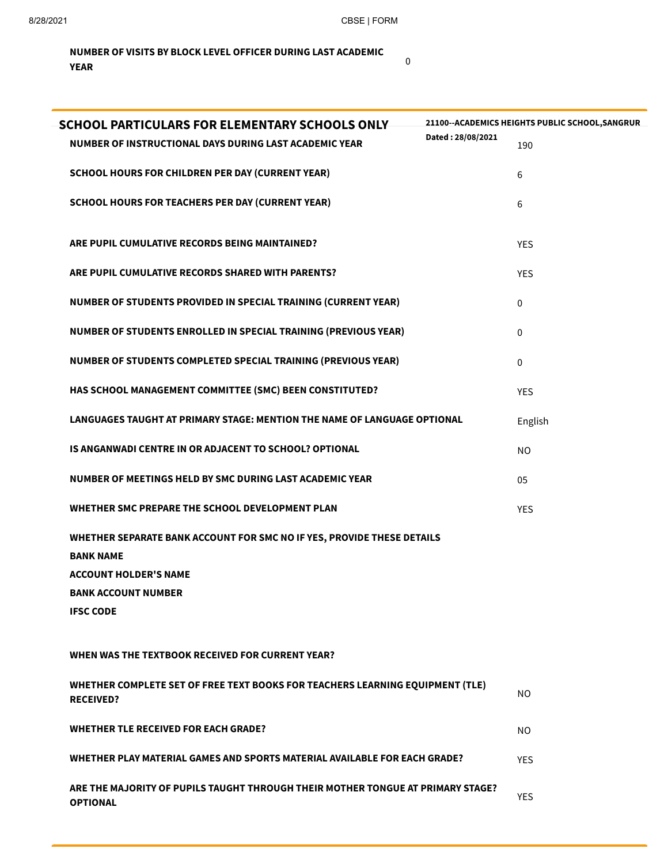0

## NUMBER OF VISITS BY BLOCK LEVEL OFFICER DURING LAST ACADEMIC YEAR

| <b>SCHOOL PARTICULARS FOR ELEMENTARY SCHOOLS ONLY</b>                                              | 21100--ACADEMICS HEIGHTS PUBLIC SCHOOL, SANGRUR |
|----------------------------------------------------------------------------------------------------|-------------------------------------------------|
| Dated: 28/08/2021<br>NUMBER OF INSTRUCTIONAL DAYS DURING LAST ACADEMIC YEAR                        | 190                                             |
| <b>SCHOOL HOURS FOR CHILDREN PER DAY (CURRENT YEAR)</b>                                            | 6                                               |
| <b>SCHOOL HOURS FOR TEACHERS PER DAY (CURRENT YEAR)</b>                                            | 6                                               |
|                                                                                                    |                                                 |
| ARE PUPIL CUMULATIVE RECORDS BEING MAINTAINED?                                                     | <b>YES</b>                                      |
| ARE PUPIL CUMULATIVE RECORDS SHARED WITH PARENTS?                                                  | <b>YES</b>                                      |
| NUMBER OF STUDENTS PROVIDED IN SPECIAL TRAINING (CURRENT YEAR)                                     | 0                                               |
| NUMBER OF STUDENTS ENROLLED IN SPECIAL TRAINING (PREVIOUS YEAR)                                    | $\Omega$                                        |
| NUMBER OF STUDENTS COMPLETED SPECIAL TRAINING (PREVIOUS YEAR)                                      | 0                                               |
| HAS SCHOOL MANAGEMENT COMMITTEE (SMC) BEEN CONSTITUTED?                                            | <b>YES</b>                                      |
| LANGUAGES TAUGHT AT PRIMARY STAGE: MENTION THE NAME OF LANGUAGE OPTIONAL                           | English                                         |
| IS ANGANWADI CENTRE IN OR ADJACENT TO SCHOOL? OPTIONAL                                             | <b>NO</b>                                       |
| NUMBER OF MEETINGS HELD BY SMC DURING LAST ACADEMIC YEAR                                           | 05                                              |
| WHETHER SMC PREPARE THE SCHOOL DEVELOPMENT PLAN                                                    | <b>YES</b>                                      |
| WHETHER SEPARATE BANK ACCOUNT FOR SMC NO IF YES, PROVIDE THESE DETAILS                             |                                                 |
| <b>BANK NAME</b>                                                                                   |                                                 |
| <b>ACCOUNT HOLDER'S NAME</b><br><b>BANK ACCOUNT NUMBER</b>                                         |                                                 |
| <b>IFSC CODE</b>                                                                                   |                                                 |
|                                                                                                    |                                                 |
| WHEN WAS THE TEXTBOOK RECEIVED FOR CURRENT YEAR?                                                   |                                                 |
| WHETHER COMPLETE SET OF FREE TEXT BOOKS FOR TEACHERS LEARNING EQUIPMENT (TLE)<br><b>RECEIVED?</b>  | NO.                                             |
| <b>WHETHER TLE RECEIVED FOR EACH GRADE?</b>                                                        | NO.                                             |
| WHETHER PLAY MATERIAL GAMES AND SPORTS MATERIAL AVAILABLE FOR EACH GRADE?                          | <b>YES</b>                                      |
| ARE THE MAJORITY OF PUPILS TAUGHT THROUGH THEIR MOTHER TONGUE AT PRIMARY STAGE?<br><b>OPTIONAL</b> | <b>YES</b>                                      |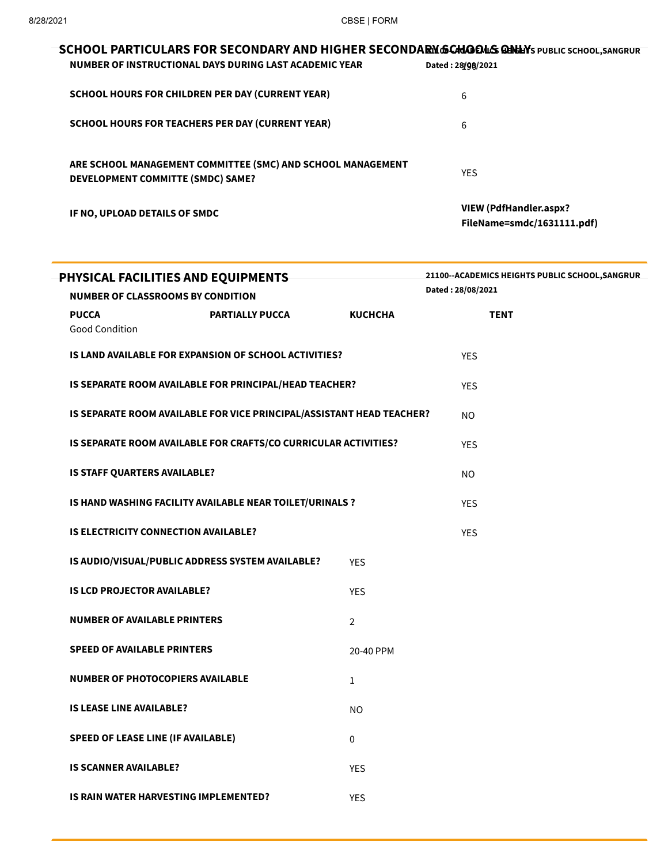| SCHOOL PARTICULARS FOR SECONDARY AND HIGHER SECONDARM GCHOOLS ON LAYS PUBLIC SCHOOL, SANGRUR     |                                                      |
|--------------------------------------------------------------------------------------------------|------------------------------------------------------|
| NUMBER OF INSTRUCTIONAL DAYS DURING LAST ACADEMIC YEAR                                           | Dated: 28/08/2021                                    |
| <b>SCHOOL HOURS FOR CHILDREN PER DAY (CURRENT YEAR)</b>                                          | 6                                                    |
| <b>SCHOOL HOURS FOR TEACHERS PER DAY (CURRENT YEAR)</b>                                          | 6                                                    |
| ARE SCHOOL MANAGEMENT COMMITTEE (SMC) AND SCHOOL MANAGEMENT<br>DEVELOPMENT COMMITTE (SMDC) SAME? | <b>YES</b>                                           |
| IF NO, UPLOAD DETAILS OF SMDC                                                                    | VIEW (PdfHandler.aspx?<br>FileName=smdc/1631111.pdf) |

| PHYSICAL FACILITIES AND EQUIPMENTS          |                                                                       |                   | 21100--ACADEMICS HEIGHTS PUBLIC SCHOOL, SANGRUR |  |  |
|---------------------------------------------|-----------------------------------------------------------------------|-------------------|-------------------------------------------------|--|--|
| <b>NUMBER OF CLASSROOMS BY CONDITION</b>    |                                                                       | Dated: 28/08/2021 |                                                 |  |  |
| <b>PUCCA</b><br><b>Good Condition</b>       | <b>PARTIALLY PUCCA</b>                                                | <b>KUCHCHA</b>    | <b>TENT</b>                                     |  |  |
|                                             | IS LAND AVAILABLE FOR EXPANSION OF SCHOOL ACTIVITIES?                 |                   | <b>YES</b>                                      |  |  |
|                                             | IS SEPARATE ROOM AVAILABLE FOR PRINCIPAL/HEAD TEACHER?                |                   | <b>YES</b>                                      |  |  |
|                                             | IS SEPARATE ROOM AVAILABLE FOR VICE PRINCIPAL/ASSISTANT HEAD TEACHER? |                   | NO.                                             |  |  |
|                                             | IS SEPARATE ROOM AVAILABLE FOR CRAFTS/CO CURRICULAR ACTIVITIES?       |                   | <b>YES</b>                                      |  |  |
| IS STAFF QUARTERS AVAILABLE?                |                                                                       |                   | NO.                                             |  |  |
|                                             | IS HAND WASHING FACILITY AVAILABLE NEAR TOILET/URINALS ?              |                   | <b>YES</b>                                      |  |  |
| <b>IS ELECTRICITY CONNECTION AVAILABLE?</b> |                                                                       |                   | <b>YES</b>                                      |  |  |
|                                             | IS AUDIO/VISUAL/PUBLIC ADDRESS SYSTEM AVAILABLE?                      | <b>YES</b>        |                                                 |  |  |
| <b>IS LCD PROJECTOR AVAILABLE?</b>          |                                                                       | <b>YES</b>        |                                                 |  |  |
| <b>NUMBER OF AVAILABLE PRINTERS</b>         |                                                                       | $\overline{2}$    |                                                 |  |  |
| <b>SPEED OF AVAILABLE PRINTERS</b>          |                                                                       | 20-40 PPM         |                                                 |  |  |
| <b>NUMBER OF PHOTOCOPIERS AVAILABLE</b>     |                                                                       | $\mathbf{1}$      |                                                 |  |  |
| <b>IS LEASE LINE AVAILABLE?</b>             |                                                                       | <b>NO</b>         |                                                 |  |  |
| <b>SPEED OF LEASE LINE (IF AVAILABLE)</b>   |                                                                       | 0                 |                                                 |  |  |
| <b>IS SCANNER AVAILABLE?</b>                |                                                                       | <b>YES</b>        |                                                 |  |  |
| IS RAIN WATER HARVESTING IMPLEMENTED?       |                                                                       | <b>YES</b>        |                                                 |  |  |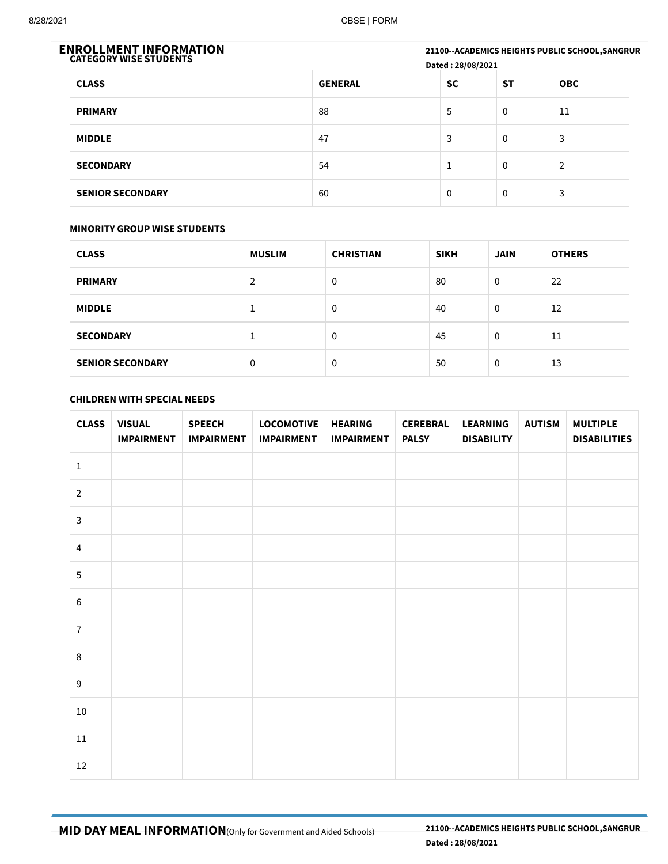21100--ACADEMICS HEIGHTS PUBLIC SCHOOL, SANGRUR Dated : 28/08/2021 ENROLLMENT INFORMATION<br>CATEGORY WISE STUDENTS CLASS GENERAL SC ST OBC PRIMARY 88 5 0 11 **MIDDLE**  $\begin{array}{ccccccc} & 47 & & & & 3 & & 0 & & 3 \\ & & 47 & & & & & 3 & & 0 & & 3 \\ \end{array}$ SECONDARY 54 1 0 2 SENIOR SECONDARY 60 0 0 3

## MINORITY GROUP WISE STUDENTS

| <b>CLASS</b>            | <b>MUSLIM</b> | <b>CHRISTIAN</b> | <b>SIKH</b> | <b>JAIN</b> | <b>OTHERS</b> |
|-------------------------|---------------|------------------|-------------|-------------|---------------|
| <b>PRIMARY</b>          | 2             | 0                | 80          | $\Omega$    | 22            |
| <b>MIDDLE</b>           |               | 0                | 40          | $\Omega$    | 12            |
| <b>SECONDARY</b>        |               | 0                | 45          | $\Omega$    | 11            |
| <b>SENIOR SECONDARY</b> | $\mathbf 0$   | 0                | 50          | $\mathbf 0$ | 13            |

## CHILDREN WITH SPECIAL NEEDS

| <b>CLASS</b>     | <b>VISUAL</b><br><b>IMPAIRMENT</b> | <b>SPEECH</b><br><b>IMPAIRMENT</b> | <b>LOCOMOTIVE</b><br><b>IMPAIRMENT</b> | <b>HEARING</b><br><b>IMPAIRMENT</b> | <b>CEREBRAL</b><br><b>PALSY</b> | <b>LEARNING</b><br><b>DISABILITY</b> | <b>AUTISM</b> | <b>MULTIPLE</b><br><b>DISABILITIES</b> |
|------------------|------------------------------------|------------------------------------|----------------------------------------|-------------------------------------|---------------------------------|--------------------------------------|---------------|----------------------------------------|
| $\mathbf 1$      |                                    |                                    |                                        |                                     |                                 |                                      |               |                                        |
| $\overline{2}$   |                                    |                                    |                                        |                                     |                                 |                                      |               |                                        |
| $\mathbf{3}$     |                                    |                                    |                                        |                                     |                                 |                                      |               |                                        |
| $\overline{4}$   |                                    |                                    |                                        |                                     |                                 |                                      |               |                                        |
| $\sqrt{5}$       |                                    |                                    |                                        |                                     |                                 |                                      |               |                                        |
| $\sqrt{6}$       |                                    |                                    |                                        |                                     |                                 |                                      |               |                                        |
| $\overline{7}$   |                                    |                                    |                                        |                                     |                                 |                                      |               |                                        |
| $\,8\,$          |                                    |                                    |                                        |                                     |                                 |                                      |               |                                        |
| $\boldsymbol{9}$ |                                    |                                    |                                        |                                     |                                 |                                      |               |                                        |
| 10               |                                    |                                    |                                        |                                     |                                 |                                      |               |                                        |
| 11               |                                    |                                    |                                        |                                     |                                 |                                      |               |                                        |
| 12               |                                    |                                    |                                        |                                     |                                 |                                      |               |                                        |

MID DAY MEAL INFORMATION(Only for Government and Aided Schools)

21100--ACADEMICS HEIGHTS PUBLIC SCHOOL,SANGRUR Dated : 28/08/2021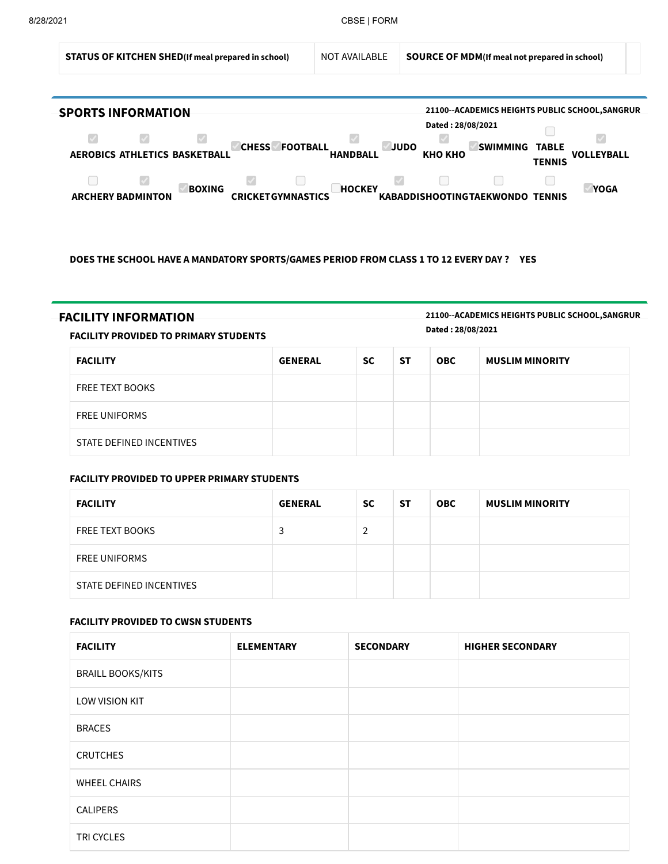

DOES THE SCHOOL HAVE A MANDATORY SPORTS/GAMES PERIOD FROM CLASS 1 TO 12 EVERY DAY ? YES

FACILITY INFORMATION 21100--ACADEMICS HEIGHTS PUBLIC SCHOOL,SANGRUR Dated : 28/08/2021

FACILITY PROVIDED TO PRIMARY STUDENTS

| <b>FACILITY</b>          | <b>GENERAL</b> | <b>SC</b> | <b>ST</b> | <b>OBC</b> | <b>MUSLIM MINORITY</b> |
|--------------------------|----------------|-----------|-----------|------------|------------------------|
| <b>FREE TEXT BOOKS</b>   |                |           |           |            |                        |
| <b>FREE UNIFORMS</b>     |                |           |           |            |                        |
| STATE DEFINED INCENTIVES |                |           |           |            |                        |

### FACILITY PROVIDED TO UPPER PRIMARY STUDENTS

| <b>FACILITY</b>          | <b>GENERAL</b> | <b>SC</b> | <b>ST</b> | <b>OBC</b> | <b>MUSLIM MINORITY</b> |
|--------------------------|----------------|-----------|-----------|------------|------------------------|
| <b>FREE TEXT BOOKS</b>   | 3              | 2         |           |            |                        |
| <b>FREE UNIFORMS</b>     |                |           |           |            |                        |
| STATE DEFINED INCENTIVES |                |           |           |            |                        |

### FACILITY PROVIDED TO CWSN STUDENTS

| <b>FACILITY</b>          | <b>ELEMENTARY</b> | <b>SECONDARY</b> | <b>HIGHER SECONDARY</b> |
|--------------------------|-------------------|------------------|-------------------------|
| <b>BRAILL BOOKS/KITS</b> |                   |                  |                         |
| <b>LOW VISION KIT</b>    |                   |                  |                         |
| <b>BRACES</b>            |                   |                  |                         |
| <b>CRUTCHES</b>          |                   |                  |                         |
| <b>WHEEL CHAIRS</b>      |                   |                  |                         |
| <b>CALIPERS</b>          |                   |                  |                         |
| TRI CYCLES               |                   |                  |                         |